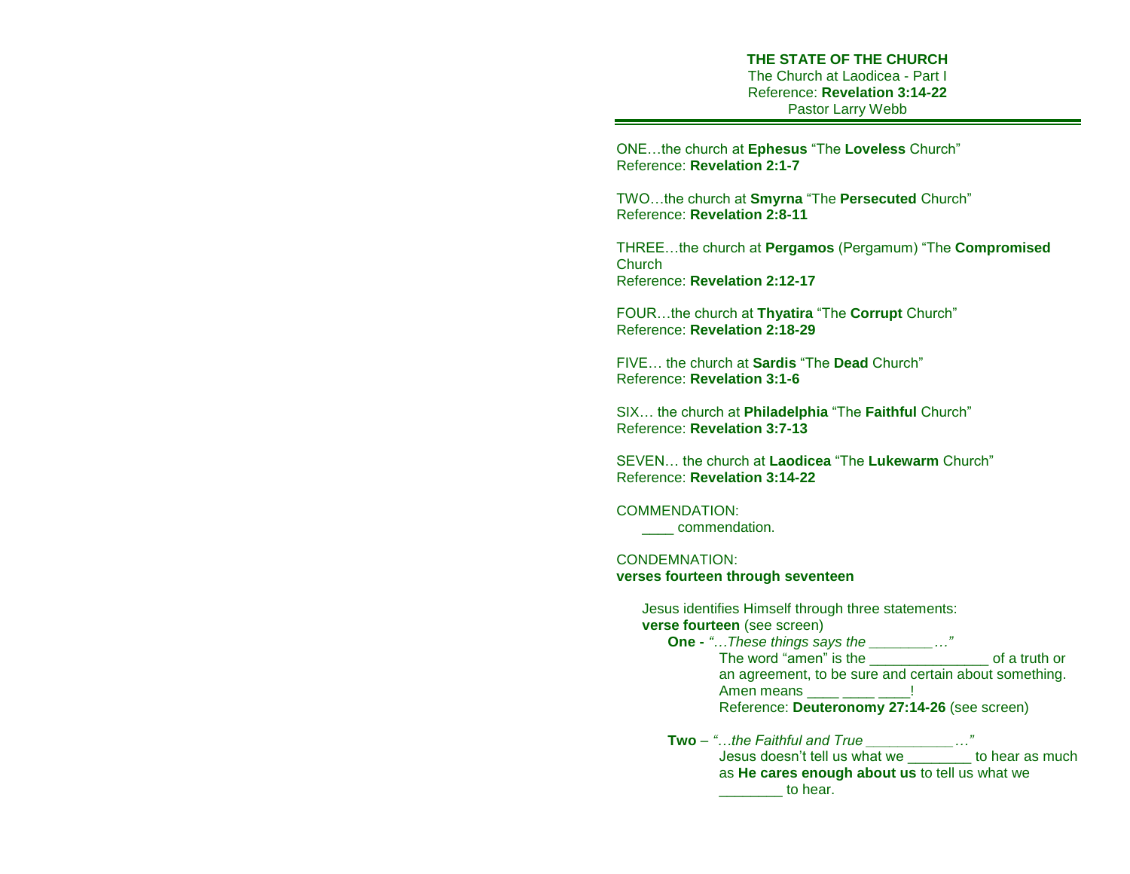**THE STATE OF THE CHURCH** The Church at Laodicea - Part I Reference: **Revelation 3:14-22** Pastor Larry Webb

ONE…the church at **Ephesus** "The **Loveless** Church" Reference: **Revelation 2:1-7** 

TWO…the church at **Smyrna** "The **Persecuted** Church" Reference: **Revelation 2:8-11**

THREE…the church at **Pergamos** (Pergamum) "The **Compromised Church** Reference: **Revelation 2:12-17**

FOUR…the church at **Thyatira** "The **Corrupt** Church" Reference: **Revelation 2:18-29** 

FIVE… the church at **Sardis** "The **Dead** Church" Reference: **Revelation 3:1-6**

SIX… the church at **Philadelphia** "The **Faithful** Church" Reference: **Revelation 3:7-13**

SEVEN… the church at **Laodicea** "The **Lukewarm** Church" Reference: **Revelation 3:14-22**

COMMENDATION:

\_\_\_\_ commendation.

CONDEMNATION: **verses fourteen through seventeen**

> Jesus identifies Himself through three statements: **verse fourteen** (see screen) **One -** *"…These things says the \_\_\_\_\_\_\_\_…"* The word "amen" is the settled a settle of a truth or an agreement, to be sure and certain about something. Amen means **department 1** Reference: **Deuteronomy 27:14-26** (see screen) **Two** – *"…the Faithful and True \_\_\_\_\_\_\_\_\_\_\_…"* Jesus doesn't tell us what we \_\_\_\_\_\_\_\_ to hear as much as **He cares enough about us** to tell us what we details are to hear.